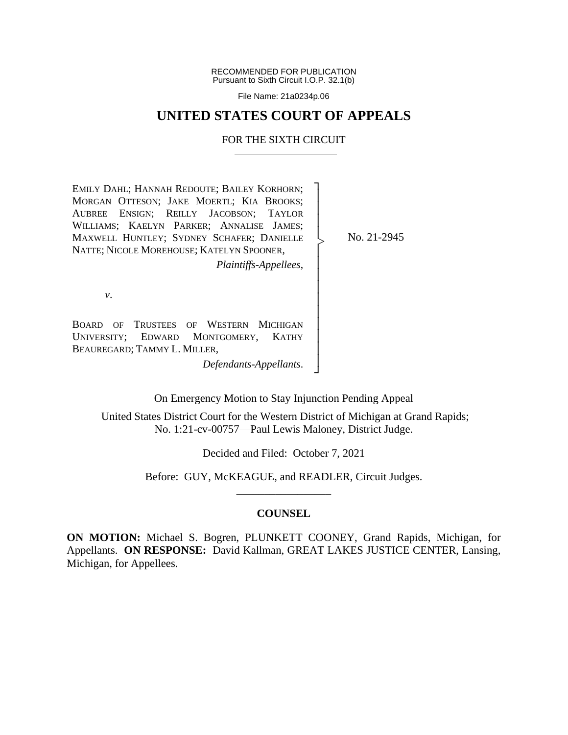RECOMMENDED FOR PUBLICATION Pursuant to Sixth Circuit I.O.P. 32.1(b)

File Name: 21a0234p.06

## **UNITED STATES COURT OF APPEALS**

#### FOR THE SIXTH CIRCUIT

EMILY DAHL; HANNAH REDOUTE; BAILEY KORHORN; MORGAN OTTESON; JAKE MOERTL; KIA BROOKS; AUBREE ENSIGN; REILLY JACOBSON; TAYLOR WILLIAMS; KAELYN PARKER; ANNALISE JAMES; MAXWELL HUNTLEY; SYDNEY SCHAFER; DANIELLE NATTE; NICOLE MOREHOUSE; KATELYN SPOONER, ┐ │ │ │ │ │ │ |<br>|<br>|

*Plaintiffs-Appellees*,

No. 21-2945

*v*.

BOARD OF TRUSTEES OF WESTERN MICHIGAN UNIVERSITY; EDWARD MONTGOMERY, KATHY BEAUREGARD; TAMMY L. MILLER,

*Defendants-Appellants*.

On Emergency Motion to Stay Injunction Pending Appeal

│ │ │ │ │ │ │ │ ┘

United States District Court for the Western District of Michigan at Grand Rapids; No. 1:21-cv-00757—Paul Lewis Maloney, District Judge.

Decided and Filed: October 7, 2021

Before: GUY, McKEAGUE, and READLER, Circuit Judges. \_\_\_\_\_\_\_\_\_\_\_\_\_\_\_\_\_

## **COUNSEL**

**ON MOTION:** Michael S. Bogren, PLUNKETT COONEY, Grand Rapids, Michigan, for Appellants. **ON RESPONSE:** David Kallman, GREAT LAKES JUSTICE CENTER, Lansing, Michigan, for Appellees.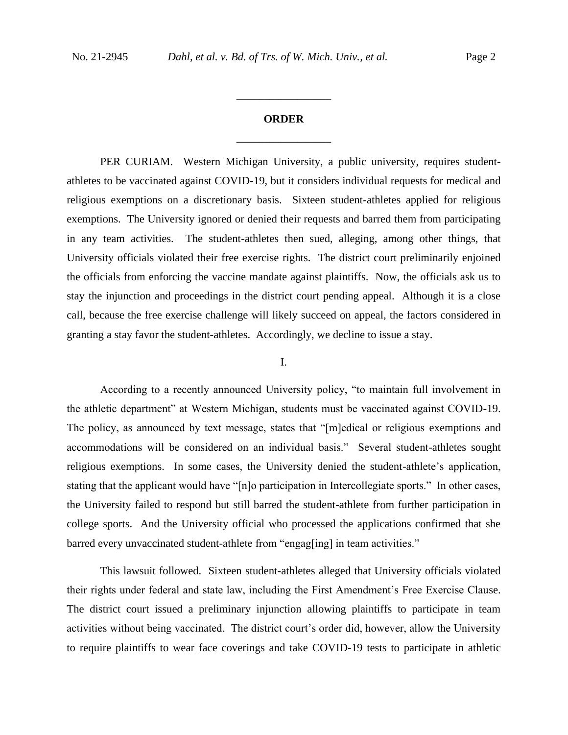# **ORDER** \_\_\_\_\_\_\_\_\_\_\_\_\_\_\_\_\_

\_\_\_\_\_\_\_\_\_\_\_\_\_\_\_\_\_

PER CURIAM. Western Michigan University, a public university, requires studentathletes to be vaccinated against COVID-19, but it considers individual requests for medical and religious exemptions on a discretionary basis. Sixteen student-athletes applied for religious exemptions. The University ignored or denied their requests and barred them from participating in any team activities. The student-athletes then sued, alleging, among other things, that University officials violated their free exercise rights. The district court preliminarily enjoined the officials from enforcing the vaccine mandate against plaintiffs. Now, the officials ask us to stay the injunction and proceedings in the district court pending appeal. Although it is a close call, because the free exercise challenge will likely succeed on appeal, the factors considered in granting a stay favor the student-athletes. Accordingly, we decline to issue a stay.

## I.

According to a recently announced University policy, "to maintain full involvement in the athletic department" at Western Michigan, students must be vaccinated against COVID-19. The policy, as announced by text message, states that "[m]edical or religious exemptions and accommodations will be considered on an individual basis." Several student-athletes sought religious exemptions. In some cases, the University denied the student-athlete's application, stating that the applicant would have "[n]o participation in Intercollegiate sports." In other cases, the University failed to respond but still barred the student-athlete from further participation in college sports. And the University official who processed the applications confirmed that she barred every unvaccinated student-athlete from "engag[ing] in team activities."

This lawsuit followed. Sixteen student-athletes alleged that University officials violated their rights under federal and state law, including the First Amendment's Free Exercise Clause. The district court issued a preliminary injunction allowing plaintiffs to participate in team activities without being vaccinated. The district court's order did, however, allow the University to require plaintiffs to wear face coverings and take COVID-19 tests to participate in athletic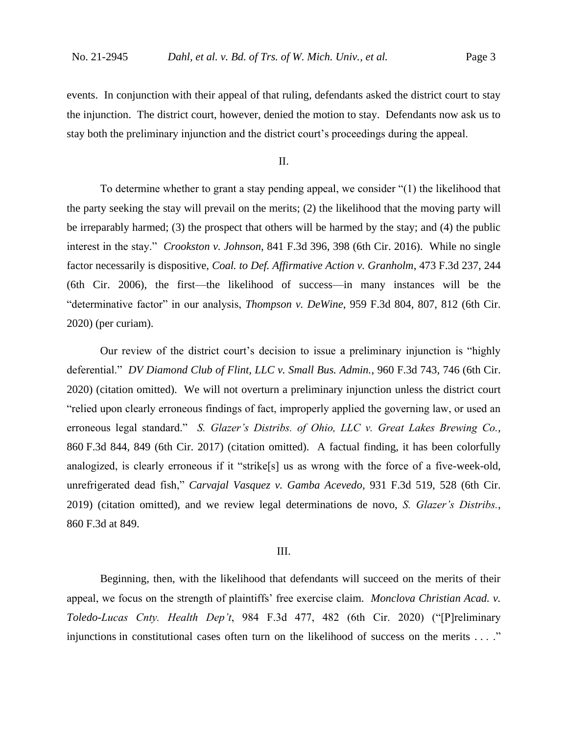events. In conjunction with their appeal of that ruling, defendants asked the district court to stay the injunction. The district court, however, denied the motion to stay. Defendants now ask us to stay both the preliminary injunction and the district court's proceedings during the appeal.

II.

To determine whether to grant a stay pending appeal, we consider "(1) the likelihood that the party seeking the stay will prevail on the merits; (2) the likelihood that the moving party will be irreparably harmed; (3) the prospect that others will be harmed by the stay; and (4) the public interest in the stay." *Crookston v. Johnson*, 841 F.3d 396, 398 (6th Cir. 2016). While no single factor necessarily is dispositive, *Coal. to Def. Affirmative Action v. Granholm*, 473 F.3d 237, 244 (6th Cir. 2006), the first—the likelihood of success—in many instances will be the "determinative factor" in our analysis, *Thompson v. DeWine*, 959 F.3d 804, 807, 812 (6th Cir. 2020) (per curiam).

Our review of the district court's decision to issue a preliminary injunction is "highly deferential." *DV Diamond Club of Flint, LLC v. Small Bus. Admin.*, 960 F.3d 743, 746 (6th Cir. 2020) (citation omitted). We will not overturn a preliminary injunction unless the district court "relied upon clearly erroneous findings of fact, improperly applied the governing law, or used an erroneous legal standard." *S. Glazer's Distribs. of Ohio, LLC v. Great Lakes Brewing Co.*, 860 F.3d 844, 849 (6th Cir. 2017) (citation omitted). A factual finding, it has been colorfully analogized, is clearly erroneous if it "strike[s] us as wrong with the force of a five-week-old, unrefrigerated dead fish," *Carvajal Vasquez v. Gamba Acevedo*, 931 F.3d 519, 528 (6th Cir. 2019) (citation omitted), and we review legal determinations de novo, *S. Glazer's Distribs.*, 860 F.3d at 849.

## III.

Beginning, then, with the likelihood that defendants will succeed on the merits of their appeal, we focus on the strength of plaintiffs' free exercise claim. *Monclova Christian Acad. v. Toledo-Lucas Cnty. Health Dep't*, 984 F.3d 477, 482 (6th Cir. 2020) ("[P]reliminary injunctions in constitutional cases often turn on the likelihood of success on the merits . . . ."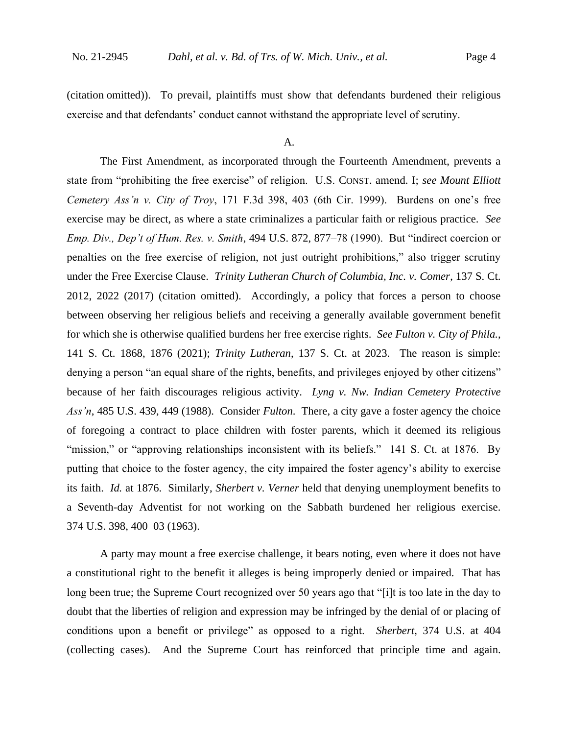(citation omitted)). To prevail, plaintiffs must show that defendants burdened their religious exercise and that defendants' conduct cannot withstand the appropriate level of scrutiny.

#### A.

The First Amendment, as incorporated through the Fourteenth Amendment, prevents a state from "prohibiting the free exercise" of religion. U.S. CONST. amend. I; *see Mount Elliott Cemetery Ass'n v. City of Troy*, 171 F.3d 398, 403 (6th Cir. 1999). Burdens on one's free exercise may be direct, as where a state criminalizes a particular faith or religious practice. *See Emp. Div., Dep't of Hum. Res. v. Smith*, 494 U.S. 872, 877–78 (1990). But "indirect coercion or penalties on the free exercise of religion, not just outright prohibitions," also trigger scrutiny under the Free Exercise Clause. *Trinity Lutheran Church of Columbia, Inc. v. Comer*, 137 S. Ct. 2012, 2022 (2017) (citation omitted). Accordingly, a policy that forces a person to choose between observing her religious beliefs and receiving a generally available government benefit for which she is otherwise qualified burdens her free exercise rights. *See Fulton v. City of Phila.*, 141 S. Ct. 1868, 1876 (2021); *Trinity Lutheran*, 137 S. Ct. at 2023. The reason is simple: denying a person "an equal share of the rights, benefits, and privileges enjoyed by other citizens" because of her faith discourages religious activity. *Lyng v. Nw. Indian Cemetery Protective Ass'n*, 485 U.S. 439, 449 (1988).Consider *Fulton*. There, a city gave a foster agency the choice of foregoing a contract to place children with foster parents, which it deemed its religious "mission," or "approving relationships inconsistent with its beliefs." 141 S. Ct. at 1876. By putting that choice to the foster agency, the city impaired the foster agency's ability to exercise its faith. *Id.* at 1876. Similarly, *Sherbert v. Verner* held that denying unemployment benefits to a Seventh-day Adventist for not working on the Sabbath burdened her religious exercise. 374 U.S. 398, 400–03 (1963).

A party may mount a free exercise challenge, it bears noting, even where it does not have a constitutional right to the benefit it alleges is being improperly denied or impaired. That has long been true; the Supreme Court recognized over 50 years ago that "[i]t is too late in the day to doubt that the liberties of religion and expression may be infringed by the denial of or placing of conditions upon a benefit or privilege" as opposed to a right. *Sherbert*, 374 U.S. at 404 (collecting cases). And the Supreme Court has reinforced that principle time and again.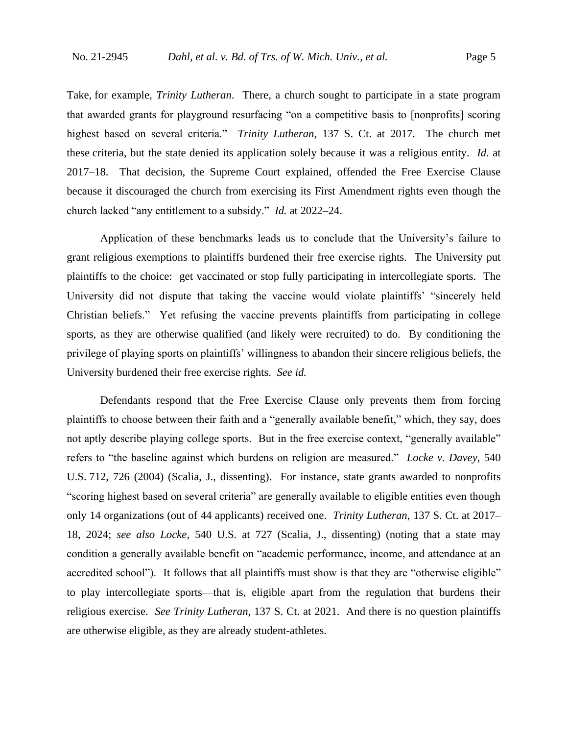Take, for example, *Trinity Lutheran*. There, a church sought to participate in a state program that awarded grants for playground resurfacing "on a competitive basis to [nonprofits] scoring highest based on several criteria." *Trinity Lutheran*, 137 S. Ct. at 2017. The church met these criteria, but the state denied its application solely because it was a religious entity. *Id.* at 2017–18. That decision, the Supreme Court explained, offended the Free Exercise Clause because it discouraged the church from exercising its First Amendment rights even though the church lacked "any entitlement to a subsidy." *Id.* at 2022–24.

Application of these benchmarks leads us to conclude that the University's failure to grant religious exemptions to plaintiffs burdened their free exercise rights. The University put plaintiffs to the choice: get vaccinated or stop fully participating in intercollegiate sports. The University did not dispute that taking the vaccine would violate plaintiffs' "sincerely held Christian beliefs." Yet refusing the vaccine prevents plaintiffs from participating in college sports, as they are otherwise qualified (and likely were recruited) to do. By conditioning the privilege of playing sports on plaintiffs' willingness to abandon their sincere religious beliefs, the University burdened their free exercise rights. *See id.*

Defendants respond that the Free Exercise Clause only prevents them from forcing plaintiffs to choose between their faith and a "generally available benefit," which, they say, does not aptly describe playing college sports. But in the free exercise context, "generally available" refers to "the baseline against which burdens on religion are measured." *Locke v. Davey*, 540 U.S. 712, 726 (2004) (Scalia, J., dissenting). For instance, state grants awarded to nonprofits "scoring highest based on several criteria" are generally available to eligible entities even though only 14 organizations (out of 44 applicants) received one. *Trinity Lutheran*, 137 S. Ct. at 2017– 18, 2024; *see also Locke*, 540 U.S. at 727 (Scalia, J., dissenting) (noting that a state may condition a generally available benefit on "academic performance, income, and attendance at an accredited school"). It follows that all plaintiffs must show is that they are "otherwise eligible" to play intercollegiate sports—that is, eligible apart from the regulation that burdens their religious exercise. *See Trinity Lutheran*, 137 S. Ct. at 2021. And there is no question plaintiffs are otherwise eligible, as they are already student-athletes.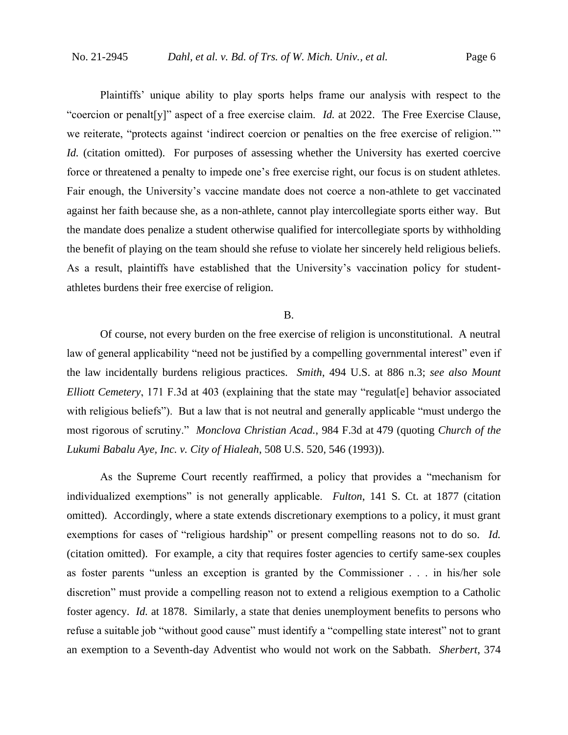Plaintiffs' unique ability to play sports helps frame our analysis with respect to the "coercion or penalt[y]" aspect of a free exercise claim. *Id.* at 2022. The Free Exercise Clause, we reiterate, "protects against 'indirect coercion or penalties on the free exercise of religion.'" *Id.* (citation omitted). For purposes of assessing whether the University has exerted coercive force or threatened a penalty to impede one's free exercise right, our focus is on student athletes. Fair enough, the University's vaccine mandate does not coerce a non-athlete to get vaccinated against her faith because she, as a non-athlete, cannot play intercollegiate sports either way. But the mandate does penalize a student otherwise qualified for intercollegiate sports by withholding the benefit of playing on the team should she refuse to violate her sincerely held religious beliefs. As a result, plaintiffs have established that the University's vaccination policy for studentathletes burdens their free exercise of religion.

#### B.

Of course, not every burden on the free exercise of religion is unconstitutional. A neutral law of general applicability "need not be justified by a compelling governmental interest" even if the law incidentally burdens religious practices. *Smith*, 494 U.S. at 886 n.3; *see also Mount Elliott Cemetery*, 171 F.3d at 403 (explaining that the state may "regulat<sup>[e]</sup> behavior associated with religious beliefs"). But a law that is not neutral and generally applicable "must undergo the most rigorous of scrutiny." *Monclova Christian Acad.*, 984 F.3d at 479 (quoting *Church of the Lukumi Babalu Aye, Inc. v. City of Hialeah*, 508 U.S. 520, 546 (1993)).

As the Supreme Court recently reaffirmed, a policy that provides a "mechanism for individualized exemptions" is not generally applicable. *Fulton*, 141 S. Ct. at 1877 (citation omitted). Accordingly, where a state extends discretionary exemptions to a policy, it must grant exemptions for cases of "religious hardship" or present compelling reasons not to do so. *Id.* (citation omitted). For example, a city that requires foster agencies to certify same-sex couples as foster parents "unless an exception is granted by the Commissioner . . . in his/her sole discretion" must provide a compelling reason not to extend a religious exemption to a Catholic foster agency. *Id.* at 1878. Similarly, a state that denies unemployment benefits to persons who refuse a suitable job "without good cause" must identify a "compelling state interest" not to grant an exemption to a Seventh-day Adventist who would not work on the Sabbath. *Sherbert*, 374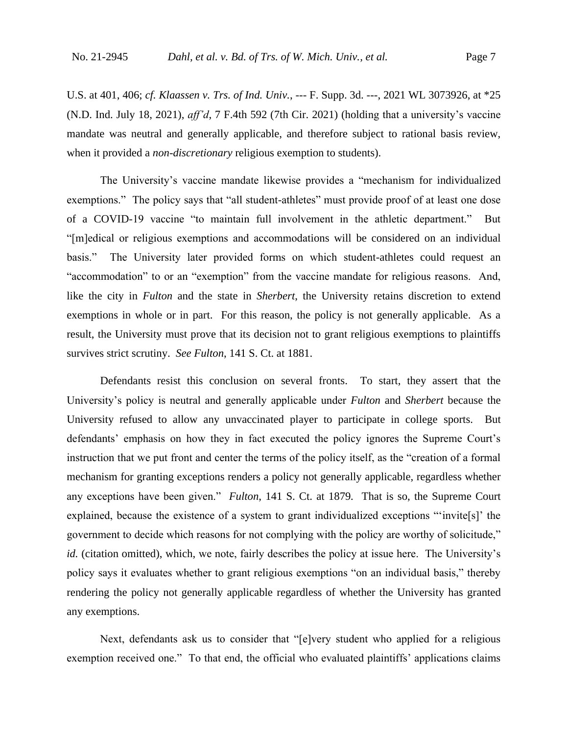U.S. at 401, 406; *cf. Klaassen v. Trs. of Ind. Univ.*, --- F. Supp. 3d. ---, 2021 WL 3073926, at \*25 (N.D. Ind. July 18, 2021), *aff'd*, 7 F.4th 592 (7th Cir. 2021) (holding that a university's vaccine mandate was neutral and generally applicable, and therefore subject to rational basis review, when it provided a *non-discretionary* religious exemption to students).

The University's vaccine mandate likewise provides a "mechanism for individualized exemptions." The policy says that "all student-athletes" must provide proof of at least one dose of a COVID-19 vaccine "to maintain full involvement in the athletic department." But "[m]edical or religious exemptions and accommodations will be considered on an individual basis." The University later provided forms on which student-athletes could request an "accommodation" to or an "exemption" from the vaccine mandate for religious reasons. And, like the city in *Fulton* and the state in *Sherbert*, the University retains discretion to extend exemptions in whole or in part. For this reason, the policy is not generally applicable. As a result, the University must prove that its decision not to grant religious exemptions to plaintiffs survives strict scrutiny. *See Fulton*, 141 S. Ct. at 1881.

Defendants resist this conclusion on several fronts. To start, they assert that the University's policy is neutral and generally applicable under *Fulton* and *Sherbert* because the University refused to allow any unvaccinated player to participate in college sports. But defendants' emphasis on how they in fact executed the policy ignores the Supreme Court's instruction that we put front and center the terms of the policy itself, as the "creation of a formal mechanism for granting exceptions renders a policy not generally applicable, regardless whether any exceptions have been given." *Fulton*, 141 S. Ct. at 1879*.* That is so, the Supreme Court explained, because the existence of a system to grant individualized exceptions "'invite[s]' the government to decide which reasons for not complying with the policy are worthy of solicitude," *id.* (citation omitted), which, we note, fairly describes the policy at issue here. The University's policy says it evaluates whether to grant religious exemptions "on an individual basis," thereby rendering the policy not generally applicable regardless of whether the University has granted any exemptions.

Next, defendants ask us to consider that "[e]very student who applied for a religious exemption received one." To that end, the official who evaluated plaintiffs' applications claims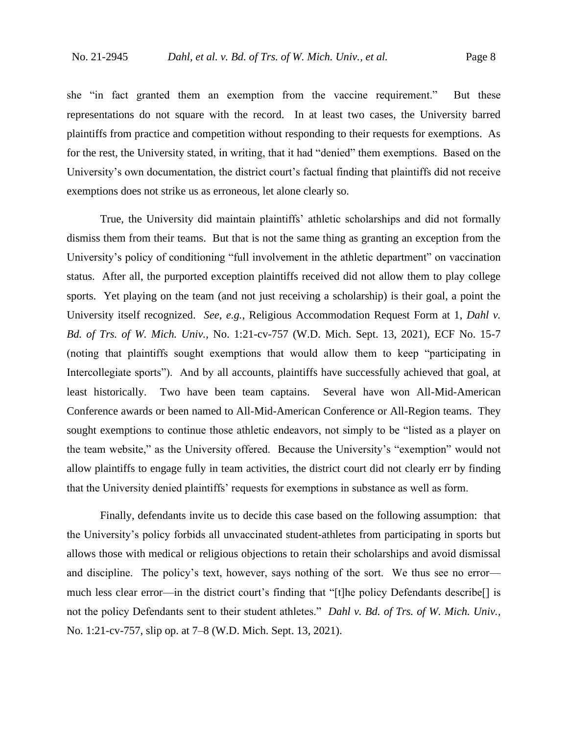she "in fact granted them an exemption from the vaccine requirement." But these representations do not square with the record. In at least two cases, the University barred plaintiffs from practice and competition without responding to their requests for exemptions. As for the rest, the University stated, in writing, that it had "denied" them exemptions. Based on the University's own documentation, the district court's factual finding that plaintiffs did not receive exemptions does not strike us as erroneous, let alone clearly so.

True, the University did maintain plaintiffs' athletic scholarships and did not formally dismiss them from their teams. But that is not the same thing as granting an exception from the University's policy of conditioning "full involvement in the athletic department" on vaccination status. After all, the purported exception plaintiffs received did not allow them to play college sports. Yet playing on the team (and not just receiving a scholarship) is their goal, a point the University itself recognized. *See, e.g.*, Religious Accommodation Request Form at 1, *Dahl v. Bd. of Trs. of W. Mich. Univ.*, No. 1:21-cv-757 (W.D. Mich. Sept. 13, 2021), ECF No. 15-7 (noting that plaintiffs sought exemptions that would allow them to keep "participating in Intercollegiate sports"). And by all accounts, plaintiffs have successfully achieved that goal, at least historically. Two have been team captains. Several have won All-Mid-American Conference awards or been named to All-Mid-American Conference or All-Region teams. They sought exemptions to continue those athletic endeavors, not simply to be "listed as a player on the team website," as the University offered. Because the University's "exemption" would not allow plaintiffs to engage fully in team activities, the district court did not clearly err by finding that the University denied plaintiffs' requests for exemptions in substance as well as form.

Finally, defendants invite us to decide this case based on the following assumption: that the University's policy forbids all unvaccinated student-athletes from participating in sports but allows those with medical or religious objections to retain their scholarships and avoid dismissal and discipline. The policy's text, however, says nothing of the sort. We thus see no error much less clear error—in the district court's finding that "[t]he policy Defendants describe[] is not the policy Defendants sent to their student athletes." *Dahl v. Bd. of Trs. of W. Mich. Univ.*, No. 1:21-cv-757, slip op. at 7–8 (W.D. Mich. Sept. 13, 2021).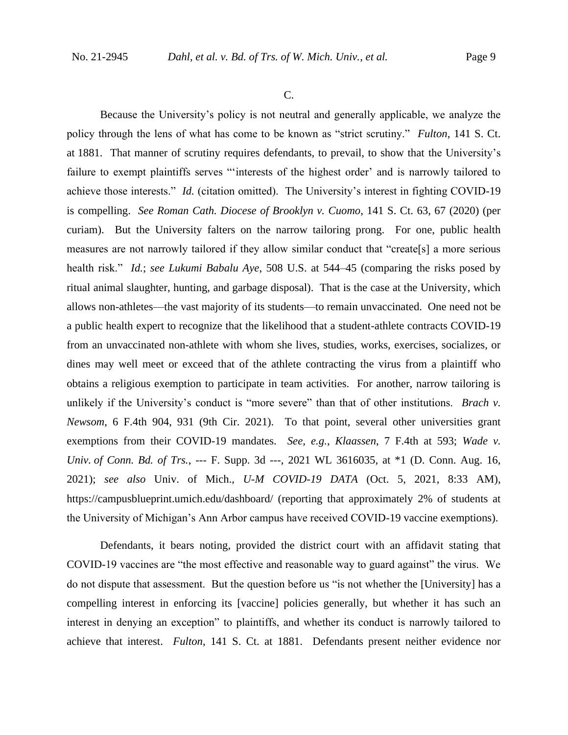C.

Because the University's policy is not neutral and generally applicable, we analyze the policy through the lens of what has come to be known as "strict scrutiny." *Fulton*, 141 S. Ct. at 1881. That manner of scrutiny requires defendants, to prevail, to show that the University's failure to exempt plaintiffs serves "'interests of the highest order' and is narrowly tailored to achieve those interests." *Id.* (citation omitted). The University's interest in fighting COVID-19 is compelling. *See Roman Cath. Diocese of Brooklyn v. Cuomo*, 141 S. Ct. 63, 67 (2020) (per curiam). But the University falters on the narrow tailoring prong. For one, public health measures are not narrowly tailored if they allow similar conduct that "create[s] a more serious health risk." *Id.*; *see Lukumi Babalu Aye*, 508 U.S. at 544–45 (comparing the risks posed by ritual animal slaughter, hunting, and garbage disposal). That is the case at the University, which allows non-athletes—the vast majority of its students—to remain unvaccinated. One need not be a public health expert to recognize that the likelihood that a student-athlete contracts COVID-19 from an unvaccinated non-athlete with whom she lives, studies, works, exercises, socializes, or dines may well meet or exceed that of the athlete contracting the virus from a plaintiff who obtains a religious exemption to participate in team activities. For another, narrow tailoring is unlikely if the University's conduct is "more severe" than that of other institutions. *Brach v. Newsom*, 6 F.4th 904, 931 (9th Cir. 2021). To that point, several other universities grant exemptions from their COVID-19 mandates. *See, e.g.*, *Klaassen*, 7 F.4th at 593; *Wade v. Univ. of Conn. Bd. of Trs.*, --- F. Supp. 3d ---, 2021 WL 3616035, at \*1 (D. Conn. Aug. 16, 2021); *see also* Univ. of Mich., *U-M COVID-19 DATA* (Oct. 5, 2021, 8:33 AM), https://campusblueprint.umich.edu/dashboard/ (reporting that approximately 2% of students at the University of Michigan's Ann Arbor campus have received COVID-19 vaccine exemptions).

Defendants, it bears noting, provided the district court with an affidavit stating that COVID-19 vaccines are "the most effective and reasonable way to guard against" the virus. We do not dispute that assessment. But the question before us "is not whether the [University] has a compelling interest in enforcing its [vaccine] policies generally, but whether it has such an interest in denying an exception" to plaintiffs, and whether its conduct is narrowly tailored to achieve that interest. *Fulton*, 141 S. Ct. at 1881. Defendants present neither evidence nor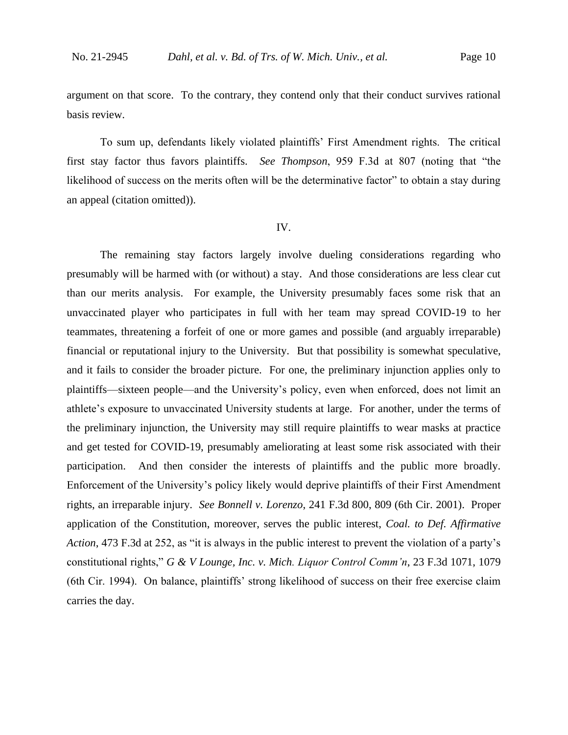argument on that score. To the contrary, they contend only that their conduct survives rational basis review.

To sum up, defendants likely violated plaintiffs' First Amendment rights. The critical first stay factor thus favors plaintiffs. *See Thompson*, 959 F.3d at 807 (noting that "the likelihood of success on the merits often will be the determinative factor" to obtain a stay during an appeal (citation omitted)).

#### IV.

The remaining stay factors largely involve dueling considerations regarding who presumably will be harmed with (or without) a stay. And those considerations are less clear cut than our merits analysis. For example, the University presumably faces some risk that an unvaccinated player who participates in full with her team may spread COVID-19 to her teammates, threatening a forfeit of one or more games and possible (and arguably irreparable) financial or reputational injury to the University. But that possibility is somewhat speculative, and it fails to consider the broader picture. For one, the preliminary injunction applies only to plaintiffs—sixteen people—and the University's policy, even when enforced, does not limit an athlete's exposure to unvaccinated University students at large. For another, under the terms of the preliminary injunction, the University may still require plaintiffs to wear masks at practice and get tested for COVID-19, presumably ameliorating at least some risk associated with their participation. And then consider the interests of plaintiffs and the public more broadly. Enforcement of the University's policy likely would deprive plaintiffs of their First Amendment rights, an irreparable injury. *See Bonnell v. Lorenzo*, 241 F.3d 800, 809 (6th Cir. 2001). Proper application of the Constitution, moreover, serves the public interest, *Coal. to Def. Affirmative Action*, 473 F.3d at 252, as "it is always in the public interest to prevent the violation of a party's constitutional rights," *G & V Lounge, Inc. v. Mich. Liquor Control Comm'n*, 23 F.3d 1071, 1079 (6th Cir. 1994). On balance, plaintiffs' strong likelihood of success on their free exercise claim carries the day.